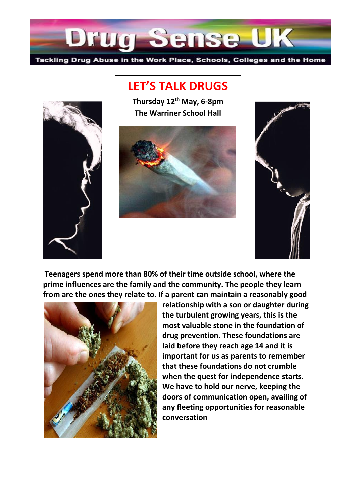

**LET'S TALK DRUGS**



**Thursday 12th May, 6-8pm The Warriner School Hall**





**Teenagers spend more than 80% of their time outside school, where the prime influences are the family and the community. The people they learn from are the ones they relate to. If a parent can maintain a reasonably good** 



**relationship with a son or daughter during the turbulent growing years, this is the most valuable stone in the foundation of drug prevention. These foundations are laid before they reach age 14 and it is important for us as parents to remember that these foundations do not crumble when the quest for independence starts. We have to hold our nerve, keeping the doors of communication open, availing of any fleeting opportunitiesfor reasonable conversation**